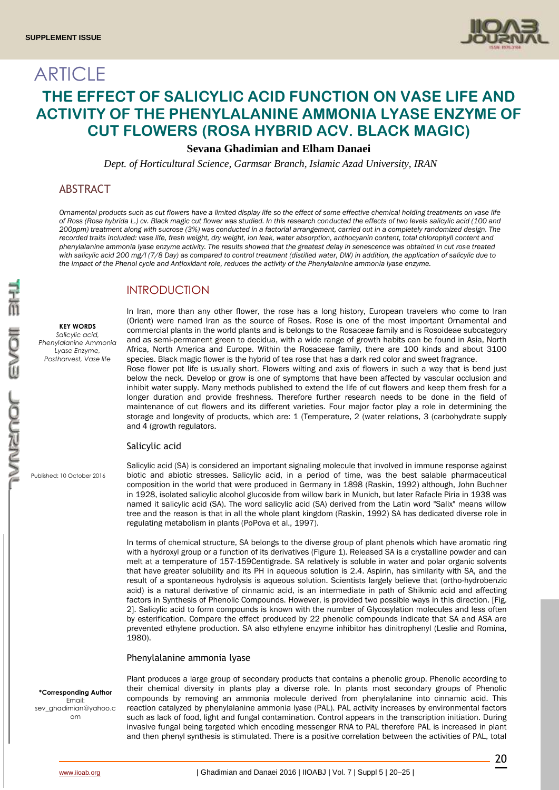

# **ARTICLE THE EFFECT OF SALICYLIC ACID FUNCTION ON VASE LIFE AND ACTIVITY OF THE PHENYLALANINE AMMONIA LYASE ENZYME OF CUT FLOWERS (ROSA HYBRID ACV. BLACK MAGIC)**

# **Sevana Ghadimian and Elham Danaei**

*Dept. of Horticultural Science, Garmsar Branch, Islamic Azad University, IRAN*

# ABSTRACT

*Ornamental products such as cut flowers have a limited display life so the effect of some effective chemical holding treatments on vase life of Ross (Rosa hybrida L.) cv. Black magic cut flower was studied. In this research conducted the effects of two levels salicylic acid (100 and 200ppm) treatment along with sucrose (3%) was conducted in a factorial arrangement, carried out in a completely randomized design. The*  recorded traits included: vase life, fresh weight, dry weight, ion leak, water absorption, anthocyanin content, total chlorophyll content and *phenylalanine ammonia lyase enzyme activity. The results showed that the greatest delay in senescence was obtained in cut rose treated with salicylic acid 200 mg/l (7/8 Day) as compared to control treatment (distilled water, DW) in addition, the application of salicylic due to the impact of the Phenol cycle and Antioxidant role, reduces the activity of the Phenylalanine ammonia lyase enzyme.*

# INTRODUCTION

**KEY WORDS** *Salicylic acid, Phenylalanine Ammonia Lyase Enzyme, Postharvest, Vase life* 

In Iran, more than any other flower, the rose has a long history, European travelers who come to Iran (Orient) were named Iran as the source of Roses. Rose is one of the most important Ornamental and commercial plants in the world plants and is belongs to the Rosaceae family and is Rosoideae subcategory and as semi-permanent green to decidua, with a wide range of growth habits can be found in Asia, North Africa, North America and Europe. Within the Rosaceae family, there are 100 kinds and about 3100 species. Black magic flower is the hybrid of tea rose that has a dark red color and sweet fragrance.

Rose flower pot life is usually short. Flowers wilting and axis of flowers in such a way that is bend just below the neck. Develop or grow is one of symptoms that have been affected by vascular occlusion and inhibit water supply. Many methods published to extend the life of cut flowers and keep them fresh for a longer duration and provide freshness. Therefore further research needs to be done in the field of maintenance of cut flowers and its different varieties. Four major factor play a role in determining the storage and longevity of products, which are: 1 (Temperature, 2 (water relations, 3 (carbohydrate supply and 4 (growth regulators.

### Salicylic acid

Published: 10 October 2016

Salicylic acid (SA) is considered an important signaling molecule that involved in immune response against biotic and abiotic stresses. Salicylic acid, in a period of time, was the best salable pharmaceutical composition in the world that were produced in Germany in 1898 (Raskin, 1992) although, John Buchner in 1928, isolated salicylic alcohol glucoside from willow bark in Munich, but later Rafacle Piria in 1938 was named it salicylic acid (SA). The word salicylic acid (SA) derived from the Latin word "Salix" means willow tree and the reason is that in all the whole plant kingdom (Raskin, 1992) SA has dedicated diverse role in regulating metabolism in plants (PoPova et al., 1997).

In terms of chemical structure, SA belongs to the diverse group of plant phenols which have aromatic ring with a hydroxyl group or a function of its derivatives (Figure 1). Released SA is a crystalline powder and can melt at a temperature of 157-159Centigrade. SA relatively is soluble in water and polar organic solvents that have greater solubility and its PH in aqueous solution is 2.4. Aspirin, has similarity with SA, and the result of a spontaneous hydrolysis is aqueous solution. Scientists largely believe that (ortho-hydrobenzic acid) is a natural derivative of cinnamic acid, is an intermediate in path of Shikmic acid and affecting factors in Synthesis of Phenolic Compounds. However, is provided two possible ways in this direction. [Fig. 2]. Salicylic acid to form compounds is known with the number of Glycosylation molecules and less often by esterification. Compare the effect produced by 22 phenolic compounds indicate that SA and ASA are prevented ethylene production. SA also ethylene enzyme inhibitor has dinitrophenyl (Leslie and Romina, 1980).

### Phenylalanine ammonia lyase

# **\*Corresponding Author** Email:

sev\_ghadimian@yahoo.c om

Plant produces a large group of secondary products that contains a phenolic group. Phenolic according to their chemical diversity in plants play a diverse role. In plants most secondary groups of Phenolic compounds by removing an ammonia molecule derived from phenylalanine into cinnamic acid. This reaction catalyzed by phenylalanine ammonia lyase (PAL). PAL activity increases by environmental factors such as lack of food, light and fungal contamination. Control appears in the transcription initiation. During invasive fungal being targeted which encoding messenger RNA to PAL therefore PAL is increased in plant and then phenyl synthesis is stimulated. There is a positive correlation between the activities of PAL, total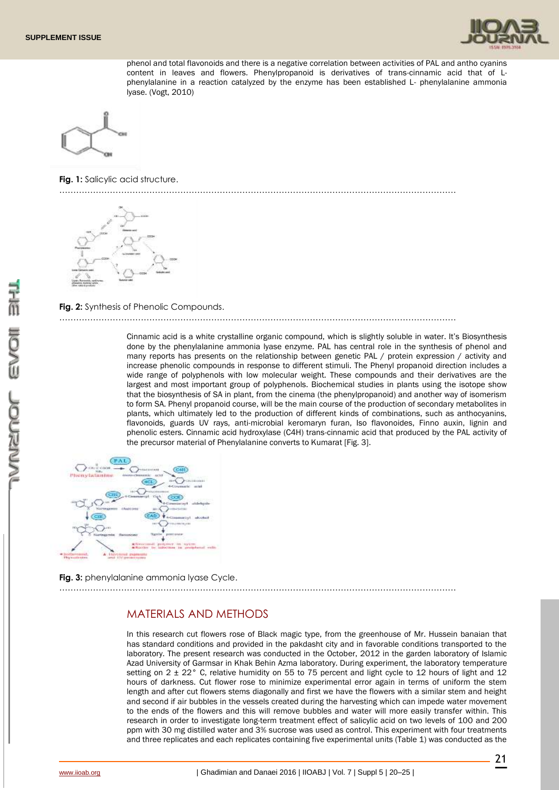

phenol and total flavonoids and there is a negative correlation between activities of PAL and antho cyanins content in leaves and flowers. Phenylpropanoid is derivatives of trans-cinnamic acid that of Lphenylalanine in a reaction catalyzed by the enzyme has been established L- phenylalanine ammonia lyase. (Vogt, 2010)



**Fig. 1:** Salicylic acid structure.

……………………………………………………………………………………………………………………………



# **Fig. 2:** Synthesis of Phenolic Compounds.

……………………………………………………………………………………………………………………………

Cinnamic acid is a white crystalline organic compound, which is slightly soluble in water. It's Biosynthesis done by the phenylalanine ammonia lyase enzyme. PAL has central role in the synthesis of phenol and many reports has presents on the relationship between genetic PAL / protein expression / activity and increase phenolic compounds in response to different stimuli. The Phenyl propanoid direction includes a wide range of polyphenols with low molecular weight. These compounds and their derivatives are the largest and most important group of polyphenols. Biochemical studies in plants using the isotope show that the biosynthesis of SA in plant, from the cinema (the phenylpropanoid) and another way of isomerism to form SA. Phenyl propanoid course, will be the main course of the production of secondary metabolites in plants, which ultimately led to the production of different kinds of combinations, such as anthocyanins, flavonoids, guards UV rays, anti-microbial keromaryn furan, Iso flavonoides, Finno auxin, lignin and phenolic esters. Cinnamic acid hydroxylase (C4H) trans-cinnamic acid that produced by the PAL activity of the precursor material of Phenylalanine converts to Kumarat [Fig. 3].





……………………………………………………………………………………………………………………………

# MATERIALS AND METHODS

In this research cut flowers rose of Black magic type, from the greenhouse of Mr. Hussein banaian that has standard conditions and provided in the pakdasht city and in favorable conditions transported to the laboratory. The present research was conducted in the October, 2012 in the garden laboratory of Islamic Azad University of Garmsar in Khak Behin Azma laboratory. During experiment, the laboratory temperature setting on 2 ± 22° C, relative humidity on 55 to 75 percent and light cycle to 12 hours of light and 12 hours of darkness. Cut flower rose to minimize experimental error again in terms of uniform the stem length and after cut flowers stems diagonally and first we have the flowers with a similar stem and height and second if air bubbles in the vessels created during the harvesting which can impede water movement to the ends of the flowers and this will remove bubbles and water will more easily transfer within. This research in order to investigate long-term treatment effect of salicylic acid on two levels of 100 and 200 ppm with 30 mg distilled water and 3% sucrose was used as control. This experiment with four treatments and three replicates and each replicates containing five experimental units (Table 1) was conducted as the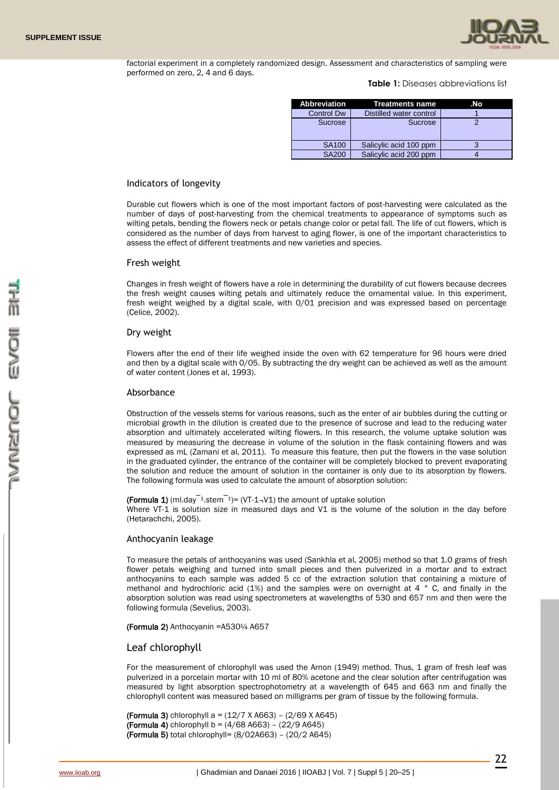

factorial experiment in a completely randomized design. Assessment and characteristics of sampling were performed on zero, 2, 4 and 6 days.

**Table 1:** Diseases abbreviations list

| Abbreviation      | Treatments name         | .No |
|-------------------|-------------------------|-----|
| <b>Control Dw</b> | Distilled water control |     |
| <b>Sucrose</b>    | <b>Sucrose</b>          |     |
| <b>SA100</b>      | Salicylic acid 100 ppm  |     |
| <b>SA200</b>      | Salicylic acid 200 ppm  |     |

### Indicators of longevity

Durable cut flowers which is one of the most important factors of post-harvesting were calculated as the number of days of post-harvesting from the chemical treatments to appearance of symptoms such as wilting petals, bending the flowers neck or petals change color or petal fall. The life of cut flowers, which is considered as the number of days from harvest to aging flower, is one of the important characteristics to assess the effect of different treatments and new varieties and species.

#### Fresh weight

Changes in fresh weight of flowers have a role in determining the durability of cut flowers because decrees the fresh weight causes wilting petals and ultimately reduce the ornamental value. In this experiment, fresh weight weighed by a digital scale, with 0/01 precision and was expressed based on percentage (Celice, 2002).

### Dry weight

Flowers after the end of their life weighed inside the oven with 62 temperature for 96 hours were dried and then by a digital scale with 0/05. By subtracting the dry weight can be achieved as well as the amount of water content (Jones et al, 1993).

#### Absorbance

Obstruction of the vessels stems for various reasons, such as the enter of air bubbles during the cutting or microbial growth in the dilution is created due to the presence of sucrose and lead to the reducing water absorption and ultimately accelerated wilting flowers. In this research, the volume uptake solution was measured by measuring the decrease in volume of the solution in the flask containing flowers and was expressed as mL (Zamani et al, 2011). To measure this feature, then put the flowers in the vase solution in the graduated cylinder, the entrance of the container will be completely blocked to prevent evaporating the solution and reduce the amount of solution in the container is only due to its absorption by flowers. The following formula was used to calculate the amount of absorption solution:

(Formula 1) (ml.day<sup> $-1$ </sup>.stem<sup> $-1$ </sup>)= (VT-1<sub>7</sub>V1) the amount of uptake solution Where VT-1 is solution size in measured days and V1 is the volume of the solution in the day before (Hetarachchi, 2005).

#### Anthocyanin leakage

To measure the petals of anthocyanins was used (Sankhla et al, 2005) method so that 1.0 grams of fresh flower petals weighing and turned into small pieces and then pulverized in a mortar and to extract anthocyanins to each sample was added 5 cc of the extraction solution that containing a mixture of methanol and hydrochloric acid  $(1%)$  and the samples were on overnight at 4  $\degree$  C, and finally in the absorption solution was read using spectrometers at wavelengths of 530 and 657 nm and then were the following formula (Sevelius, 2003).

(Formula 2) Anthocyanin =A530¼ A657

### Leaf chlorophyll

For the measurement of chlorophyll was used the Arnon (1949) method. Thus, 1 gram of fresh leaf was pulverized in a porcelain mortar with 10 ml of 80% acetone and the clear solution after centrifugation was measured by light absorption spectrophotometry at a wavelength of 645 and 663 nm and finally the chlorophyll content was measured based on milligrams per gram of tissue by the following formula.

(Formula 3) chlorophyll a =  $(12/7 \text{ X A663}) - (2/69 \text{ X A645})$ (Formula 4) chlorophyll b =  $(4/68 A663) - (22/9 A645)$ (Formula 5) total chlorophyll= (8/02A663) – (20/2 A645)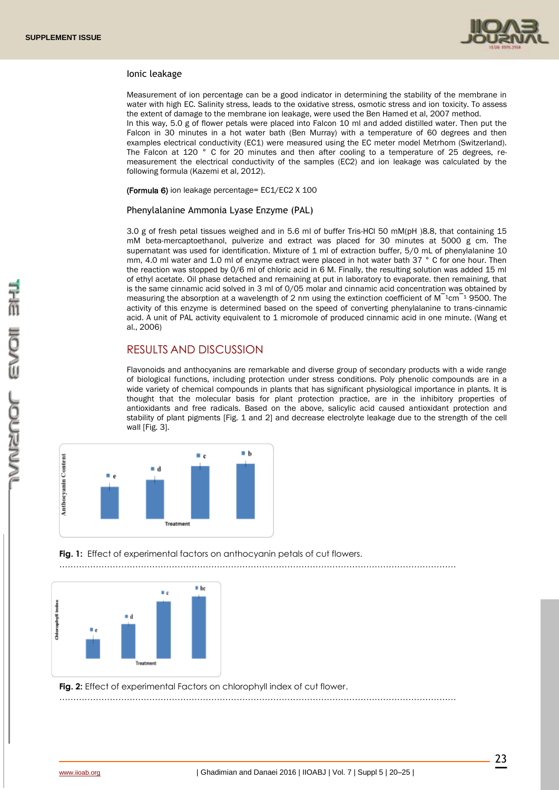

### Ionic leakage

Measurement of ion percentage can be a good indicator in determining the stability of the membrane in water with high EC. Salinity stress, leads to the oxidative stress, osmotic stress and ion toxicity. To assess the extent of damage to the membrane ion leakage, were used the Ben Hamed et al, 2007 method. In this way, 5.0 g of flower petals were placed into Falcon 10 ml and added distilled water. Then put the Falcon in 30 minutes in a hot water bath (Ben Murray) with a temperature of 60 degrees and then examples electrical conductivity (EC1) were measured using the EC meter model Metrhom (Switzerland). The Falcon at 120 ° C for 20 minutes and then after cooling to a temperature of 25 degrees, remeasurement the electrical conductivity of the samples (EC2) and ion leakage was calculated by the following formula (Kazemi et al, 2012).

(Formula 6) ion leakage percentage= EC1/EC2 X 100

### Phenylalanine Ammonia Lyase Enzyme (PAL)

3.0 g of fresh petal tissues weighed and in 5.6 ml of buffer Tris-HCl 50 mM(pH )8.8, that containing 15 mM beta-mercaptoethanol, pulverize and extract was placed for 30 minutes at 5000 g cm. The supernatant was used for identification. Mixture of 1 ml of extraction buffer, 5/0 mL of phenylalanine 10 mm, 4.0 ml water and 1.0 ml of enzyme extract were placed in hot water bath 37 ° C for one hour. Then the reaction was stopped by 0/6 ml of chloric acid in 6 M. Finally, the resulting solution was added 15 ml of ethyl acetate. Oil phase detached and remaining at put in laboratory to evaporate. then remaining, that is the same cinnamic acid solved in 3 ml of 0/05 molar and cinnamic acid concentration was obtained by measuring the absorption at a wavelength of 2 nm using the extinction coefficient of  $M^{-1}$ cm<sup> $-1$ </sup> 9500. The activity of this enzyme is determined based on the speed of converting phenylalanine to trans-cinnamic acid. A unit of PAL activity equivalent to 1 micromole of produced cinnamic acid in one minute. (Wang et al., 2006)

### RESULTS AND DISCUSSION

Flavonoids and anthocyanins are remarkable and diverse group of secondary products with a wide range of biological functions, including protection under stress conditions. Poly phenolic compounds are in a wide variety of chemical compounds in plants that has significant physiological importance in plants. It is thought that the molecular basis for plant protection practice, are in the inhibitory properties of antioxidants and free radicals. Based on the above, salicylic acid caused antioxidant protection and stability of plant pigments [Fig. 1 and 2] and decrease electrolyte leakage due to the strength of the cell wall [Fig. 3].



**Fig. 1:** Effect of experimental factors on anthocyanin petals of cut flowers.



**Fig. 2:** Effect of experimental Factors on chlorophyll index of cut flower.

……………………………………………………………………………………………………………………………

……………………………………………………………………………………………………………………………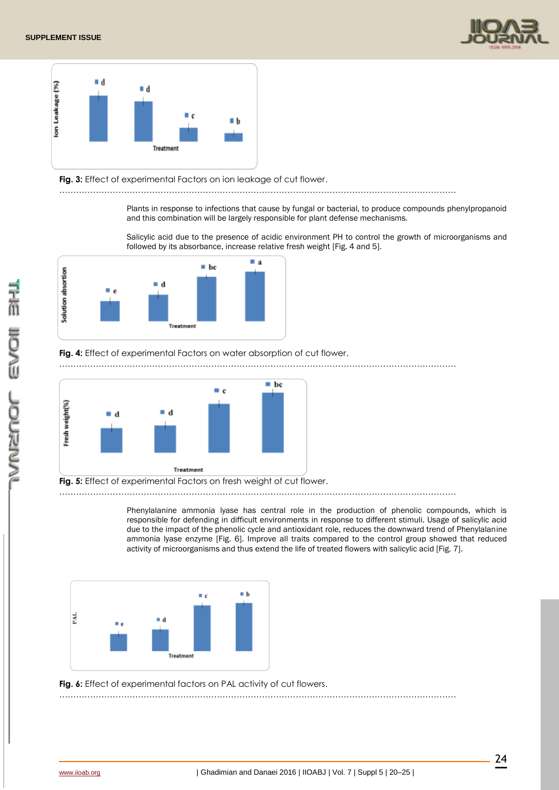



**Fig. 3:** Effect of experimental Factors on ion leakage of cut flower.

……………………………………………………………………………………………………………………………

Plants in response to infections that cause by fungal or bacterial, to produce compounds phenylpropanoid and this combination will be largely responsible for plant defense mechanisms.

Salicylic acid due to the presence of acidic environment PH to control the growth of microorganisms and followed by its absorbance, increase relative fresh weight [Fig. 4 and 5].



# Fig. 4: Effect of experimental Factors on water absorption of cut flower.

![](_page_4_Figure_9.jpeg)

![](_page_4_Figure_10.jpeg)

**Fig. 5:** Effect of experimental Factors on fresh weight of cut flower.

……………………………………………………………………………………………………………………………

……………………………………………………………………………………………………………………………

Phenylalanine ammonia lyase has central role in the production of phenolic compounds, which is responsible for defending in difficult environments in response to different stimuli. Usage of salicylic acid due to the impact of the phenolic cycle and antioxidant role, reduces the downward trend of Phenylalanine ammonia lyase enzyme [Fig. 6]. Improve all traits compared to the control group showed that reduced activity of microorganisms and thus extend the life of treated flowers with salicylic acid [Fig. 7].

![](_page_4_Figure_14.jpeg)

Fig. 6: Effect of experimental factors on PAL activity of cut flowers.

ŌSU